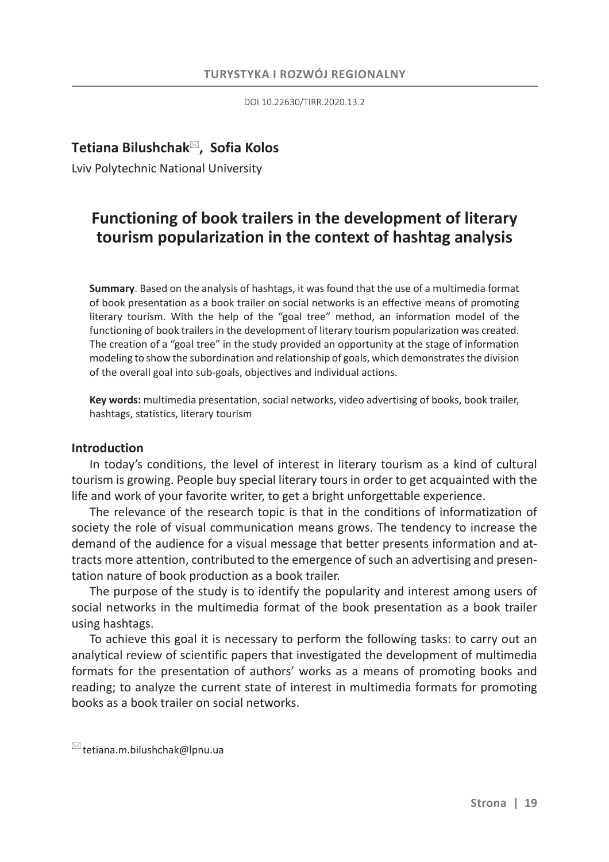DOI 10.22630/TIRR.2020.13.2

# **˃etiana Bilushchak , Sofia Kolos**

Lviv Polytechnic National University

# **Functioning of book trailers in the development of literary tourism popularization in the context of hashtag analysis**

**Summary**. Based on the analysis of hashtags, it was found that the use of a multimedia format of book presentation as a book trailer on social networks is an effective means of promoting literary tourism. With the help of the "goal tree" method, an information model of the functioning of book trailers in the development of literary tourism popularization was created. The creation of a "goal tree" in the study provided an opportunity at the stage of information modeling to show the subordination and relationship of goals, which demonstrates the division of the overall goal into sub-goals, objectives and individual actions.

**Key words:** multimedia presentation, social networks, video advertising of books, book trailer, hashtags, statistics, literary tourism

#### **Introduction**

In today's conditions, the level of interest in literary tourism as a kind of cultural tourism is growing. People buy special literary tours in order to get acquainted with the life and work of your favorite writer, to get a bright unforgettable experience.

The relevance of the research topic is that in the conditions of informatization of society the role of visual communication means grows. The tendency to increase the demand of the audience for a visual message that better presents information and attracts more attention, contributed to the emergence of such an advertising and presentation nature of book production as a book trailer.

The purpose of the study is to identify the popularity and interest among users of social networks in the multimedia format of the book presentation as a book trailer using hashtags.

To achieve this goal it is necessary to perform the following tasks: to carry out an analytical review of scientific papers that investigated the development of multimedia formats for the presentation of authors' works as a means of promoting books and reading; to analyze the current state of interest in multimedia formats for promoting books as a book trailer on social networks.

 $\boxtimes$  tetiana.m.bilushchak@lpnu.ua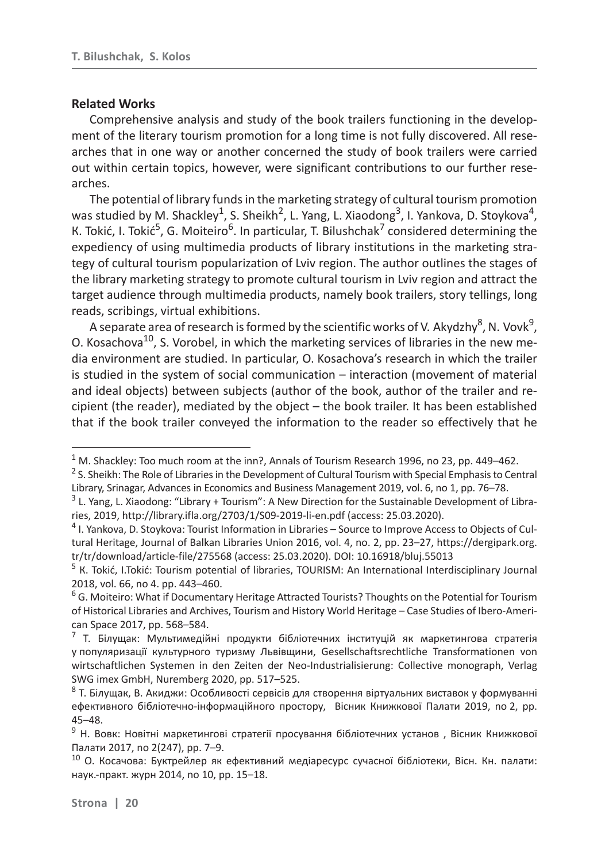### **Related Works**

Comprehensive analysis and study of the book trailers functioning in the development of the literary tourism promotion for a long time is not fully discovered. All researches that in one way or another concerned the study of book trailers were carried out within certain topics, however, were significant contributions to our further researches.

The potential of library funds in the marketing strategy of cultural tourism promotion was studied by M. Shackley<sup>1</sup>, S. Sheikh<sup>2</sup>, L. Yang, L. Xiaodong<sup>3</sup>, I. Yankova, D. Stoykova<sup>4</sup>, K. Tokić, I. Tokić<sup>5</sup>, G. Moiteiro<sup>6</sup>. In particular, T. Bilushchak<sup>7</sup> considered determining the expediency of using multimedia products of library institutions in the marketing strategy of cultural tourism popularization of Lviv region. The author outlines the stages of the library marketing strategy to promote cultural tourism in Lviv region and attract the target audience through multimedia products, namely book trailers, story tellings, long reads, scribings, virtual exhibitions.

A separate area of research is formed by the scientific works of V. Akydzhy $^8$ , N. Vovk $^9$ , O. Kosachova<sup>10</sup>, S. Vorobel, in which the marketing services of libraries in the new media environment are studied. In particular, O. Kosachova's research in which the trailer is studied in the system of social communication – interaction (movement of material and ideal objects) between subjects (author of the book, author of the trailer and recipient (the reader), mediated by the object – the book trailer. It has been established that if the book trailer conveyed the information to the reader so effectively that he

 $1$  M. Shackley: Too much room at the inn?, Annals of Tourism Research 1996, no 23, pp. 449–462.

<sup>&</sup>lt;sup>2</sup> S. Sheikh: The Role of Libraries in the Development of Cultural Tourism with Special Emphasis to Central Library, Srinagar, Advances in Economics and Business Management 2019, vol. 6, no 1, pp. 76–78.

<sup>&</sup>lt;sup>3</sup> L. Yang, L. Xiaodong: "Library + Tourism": A New Direction for the Sustainable Development of Libraries, 2019, http://library.ifla.org/2703/1/S09-2019-li-en.pdf (access: 25.03.2020).

<sup>&</sup>lt;sup>4</sup> I. Yankova, D. Stoykova: Tourist Information in Libraries - Source to Improve Access to Objects of Cultural Heritage, Journal of Balkan Libraries Union 2016, vol. 4, no. 2, pp. 23–27, https://dergipark.org. tr/tr/download/article-file/275568 (access: 25.03.2020). DOI: 10.16918/bluj.55013

<sup>&</sup>lt;sup>5</sup> K. Tokić, I.Tokić: Tourism potential of libraries, TOURISM: An International Interdisciplinary Journal 2018, vol. 66, no 4. pp. 443–460.

<sup>&</sup>lt;sup>6</sup> G. Moiteiro: What if Documentary Heritage Attracted Tourists? Thoughts on the Potential for Tourism of Historical Libraries and Archives, Tourism and History World Heritage *–* Case Studies of Ibero-American Space 2017, pp. 568-584.

 $^7$  Т. Білущак: Мультимедійні продукти бібліотечних інституцій як маркетингова стратегія у популяризації культурного туризму Львівщини, Gesellschaftsrechtliche Transformationen von wirtschaftlichen Systemen in den Zeiten der Neo-Industrialisierung: Collective monograph, Verlag SWG imex GmbH, Nuremberg 2020, pp. 517–525.

 $8$  Т. Білущак, В. Акиджи: Особливості сервісів для створення віртуальних виставок у формуванні ефективного бібліотечно-інформаційного простору, Вісник Книжкової Палати 2019, по 2, рр. 45–48.

 $9$  Н. Вовк: Новітні маркетингові стратегії просування бібліотечних установ, Вісник Книжкової Палати 2017, по 2(247), pp. 7–9.

 $10$  О. Косачова: Буктрейлер як ефективний медіаресурс сучасної бібліотеки, Вісн. Кн. палати: наук.-практ. журн 2014, по 10, рр. 15–18.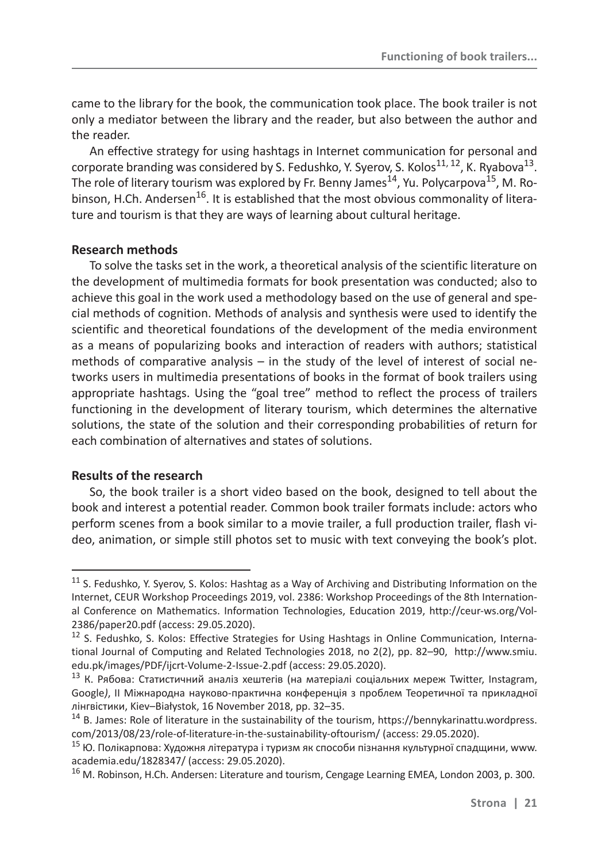came to the library for the book, the communication took place. The book trailer is not only a mediator between the library and the reader, but also between the author and the reader.

An effective strategy for using hashtags in Internet communication for personal and corporate branding was considered by S. Fedushko, Y. Syerov, S. Kolos<sup>11, 12</sup>, K. Ryabova<sup>13</sup>. The role of literary tourism was explored by Fr. Benny James<sup>14</sup>, Yu. Polycarpova<sup>15</sup>, M. Robinson, H.Ch. Andersen<sup>16</sup>. It is established that the most obvious commonality of literature and tourism is that they are ways of learning about cultural heritage.

## **Research methods**

To solve the tasks set in the work, a theoretical analysis of the scientific literature on the development of multimedia formats for book presentation was conducted; also to achieve this goal in the work used a methodology based on the use of general and special methods of cognition. Methods of analysis and synthesis were used to identify the scientific and theoretical foundations of the development of the media environment as a means of popularizing books and interaction of readers with authors; statistical methods of comparative analysis – in the study of the level of interest of social networks users in multimedia presentations of books in the format of book trailers using appropriate hashtags. Using the "goal tree" method to reflect the process of trailers functioning in the development of literary tourism, which determines the alternative solutions, the state of the solution and their corresponding probabilities of return for each combination of alternatives and states of solutions.

## **Results of the research**

So, the book trailer is a short video based on the book, designed to tell about the book and interest a potential reader. Common book trailer formats include: actors who perform scenes from a book similar to a movie trailer, a full production trailer, flash video, animation, or simple still photos set to music with text conveying the book's plot.

<sup>&</sup>lt;sup>11</sup> S. Fedushko, Y. Syerov, S. Kolos: Hashtag as a Way of Archiving and Distributing Information on the Internet, CEUR Workshop Proceedings 2019, vol. 2386: Workshop Proceedings of the 8th International Conference on Mathematics. Information Technologies, Education 2019, http://ceur-ws.org/Vol-2386/paper20.pdf (access: 29.05.2020).

<sup>&</sup>lt;sup>12</sup> S. Fedushko, S. Kolos: Effective Strategies for Using Hashtags in Online Communication, International Journal of Computing and Related Technologies 2018, no 2(2), pp. 82–90, http://www.smiu. edu.pk/images/PDF/ijcrt-Volume-2-Issue-2.pdf (access: 29.05.2020).

<sup>&</sup>lt;sup>13</sup> К. Рябова: Статистичний аналіз хештегів (на матеріалі соціальних мереж Twitter, Instagram, Google), II Міжнародна науково-практична конференція з проблем Теоретичної та прикладної лінгвістики, Kiev-Białystok, 16 November 2018, pp. 32–35.

 $14$  B. James: Role of literature in the sustainability of the tourism, https://bennykarinattu.wordpress. com/2013/08/23/role-of-literature-in-the-sustainability-oftourism/ (access: 29.05.2020).

<sup>&</sup>lt;sup>15</sup> Ю. Полікарпова: Художня література і туризм як способи пізнання культурної спадщини, www. academia.edu/1828347/ (access: 29.05.2020).

<sup>&</sup>lt;sup>16</sup> M. Robinson, H.Ch. Andersen: Literature and tourism, Cengage Learning EMEA, London 2003, p. 300.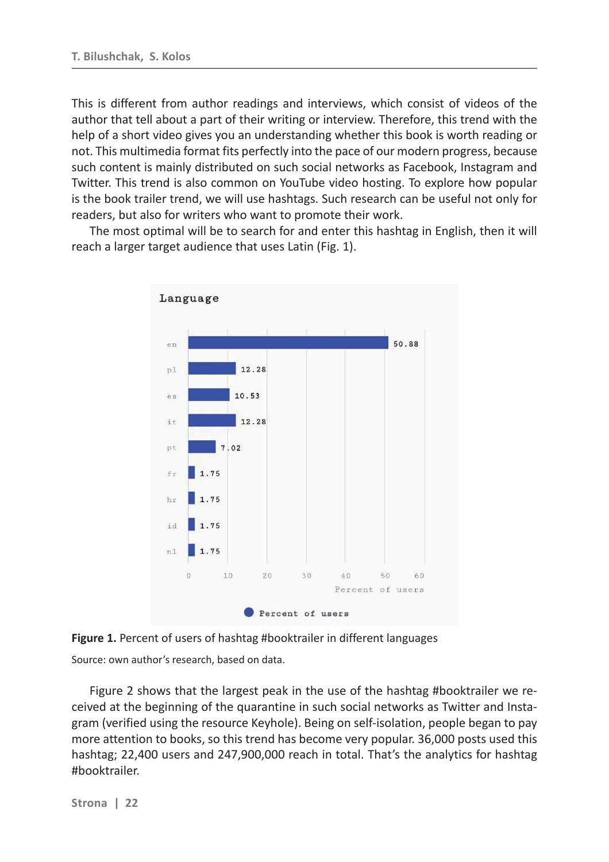This is different from author readings and interviews, which consist of videos of the author that tell about a part of their writing or interview. Therefore, this trend with the help of a short video gives you an understanding whether this book is worth reading or not. This multimedia format fits perfectly into the pace of our modern progress, because such content is mainly distributed on such social networks as Facebook, Instagram and Twitter. This trend is also common on YouTube video hosting. To explore how popular is the book trailer trend, we will use hashtags. Such research can be useful not only for readers, but also for writers who want to promote their work.

The most optimal will be to search for and enter this hashtag in English, then it will reach a larger target audience that uses Latin (Fig. 1).



**Figure 1.** Percent of users of hashtag #booktrailer in different languages Source: own author's research, based on data.

Figure 2 shows that the largest peak in the use of the hashtag #booktrailer we received at the beginning of the quarantine in such social networks as Twitter and Instagram (verified using the resource Keyhole). Being on self-isolation, people began to pay more attention to books, so this trend has become very popular. 36,000 posts used this hashtag; 22,400 users and 247,900,000 reach in total. That's the analytics for hashtag #booktrailer.

**Strona | 22**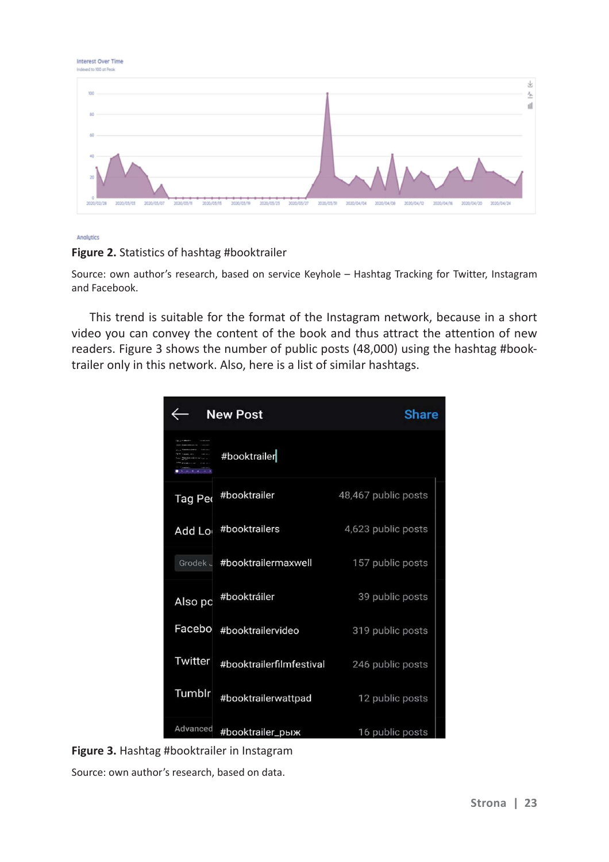| Indexed to 100 of Peak                                                                                                                                                                                   |         |
|----------------------------------------------------------------------------------------------------------------------------------------------------------------------------------------------------------|---------|
| 100                                                                                                                                                                                                      | 36<br>소 |
| 80                                                                                                                                                                                                       |         |
| 60                                                                                                                                                                                                       |         |
| 40<br>20                                                                                                                                                                                                 |         |
| 2020/04/04 2020/04/08<br>2020/03/05<br>2020/03/07<br>2020/04/12<br>2020/04/16<br>2020/04/20 2020/04/24<br>2020/03/15<br>2020/03/27<br>2020/03/31<br>2020/02/28<br>2020/05/11<br>2020/05/25<br>2020/03/19 |         |



Interest Over Time

## **Figure 2.** Statistics of hashtag #booktrailer

Source: own author's research, based on service Keyhole – Hashtag Tracking for Twitter, Instagram and Facebook.

This trend is suitable for the format of the Instagram network, because in a short video you can convey the content of the book and thus attract the attention of new readers. Figure 3 shows the number of public posts (48,000) using the hashtag #booktrailer only in this network. Also, here is a list of similar hashtags.

|          | <b>New Post</b>              | <b>Share</b>        |
|----------|------------------------------|---------------------|
|          | #booktrailer                 |                     |
| Tag Per  | #booktrailer                 | 48,467 public posts |
| Add Lor  | #booktrailers                | 4,623 public posts  |
|          | Grodek J #booktrailermaxwell | 157 public posts    |
| Also pc  | #booktráiler                 | 39 public posts     |
| Facebo   | #booktrailervideo            | 319 public posts    |
| Twitter  | #booktrailerfilmfestival     | 246 public posts    |
| Tumblr   | #booktrailerwattpad          | 12 public posts     |
| Advanced | #booktrailer_рыж             | 16 public posts     |



Source: own author's research, based on data.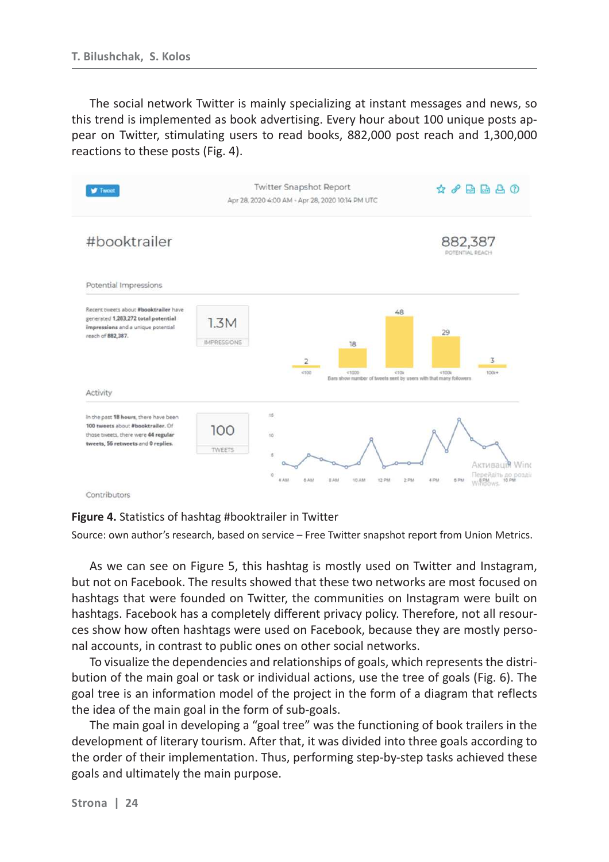The social network Twitter is mainly specializing at instant messages and news, so this trend is implemented as book advertising. Every hour about 100 unique posts appear on Twitter, stimulating users to read books, 882,000 post reach and 1,300,000 reactions to these posts (Fig. 4).



Contributors

**Figure 4.** Statistics of hashtag #booktrailer in Twitter

Source: own author's research, based on service – Free Twitter snapshot report from Union Metrics.

As we can see on Figure 5, this hashtag is mostly used on Twitter and Instagram, but not on Facebook. The results showed that these two networks are most focused on hashtags that were founded on Twitter, the communities on Instagram were built on hashtags. Facebook has a completely different privacy policy. Therefore, not all resources show how often hashtags were used on Facebook, because they are mostly personal accounts, in contrast to public ones on other social networks.

To visualize the dependencies and relationships of goals, which represents the distribution of the main goal or task or individual actions, use the tree of goals (Fig. 6). The goal tree is an information model of the project in the form of a diagram that reflects the idea of the main goal in the form of sub-goals.

The main goal in developing a "goal tree" was the functioning of book trailers in the development of literary tourism. After that, it was divided into three goals according to the order of their implementation. Thus, performing step-by-step tasks achieved these goals and ultimately the main purpose.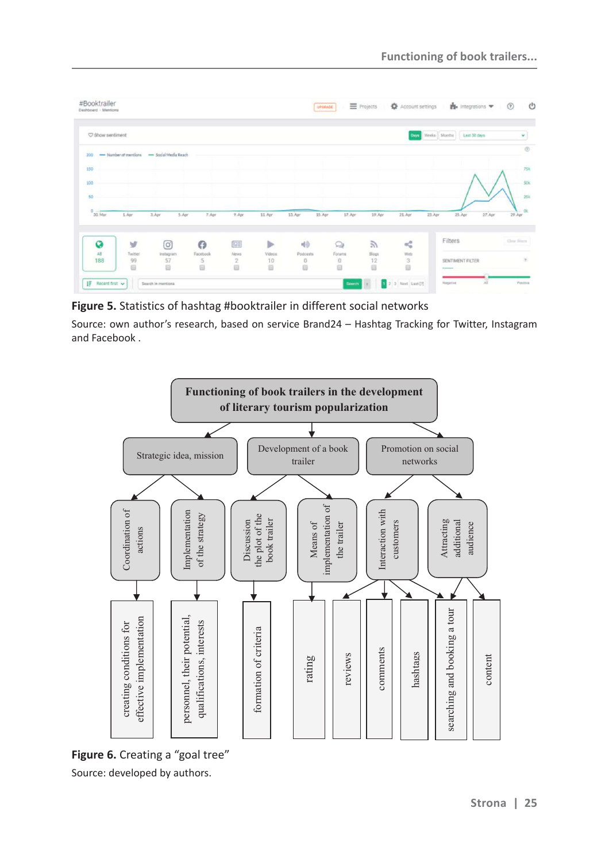| C Show sentiment            |                      |         |                 |          |                     |                |              | <b>Days</b> | Weeks   Months   Last 50 days    |               |
|-----------------------------|----------------------|---------|-----------------|----------|---------------------|----------------|--------------|-------------|----------------------------------|---------------|
| - Number of mentions<br>200 | - Social Media Reach |         |                 |          |                     |                |              |             |                                  |               |
| 150                         |                      |         |                 |          |                     |                |              |             |                                  |               |
|                             |                      |         |                 |          |                     |                |              |             |                                  |               |
| 100                         |                      |         |                 |          |                     |                |              |             |                                  |               |
| 50                          |                      |         |                 |          |                     |                |              |             |                                  |               |
| $\circ$<br>30.Mar<br>1. Apr | 3.Apr<br>5.Apr       | 7.Apr   | $9. \text{Apr}$ | 11. Apr. | $13.4$ pr<br>15.Apr | $17.$ Apr      | 19.Apr       | $21.$ Apr   | 27.Apr<br>$25.$ Apr<br>$23.$ Apr | $29.$ Apr     |
| Ø                           | y<br>◎               | $\odot$ | 四               | ⋗        | 40.                 | $\circledcirc$ | $\mathbb{Z}$ | ×\$         | Filters                          | Clear filters |

**Figure 5.** Statistics of hashtag #booktrailer in different social networks

Source: own author's research, based on service Brand24 – Hashtag Tracking for Twitter, Instagram and Facebook .



**Figure 6.** Creating a "goal tree" Source: developed by authors.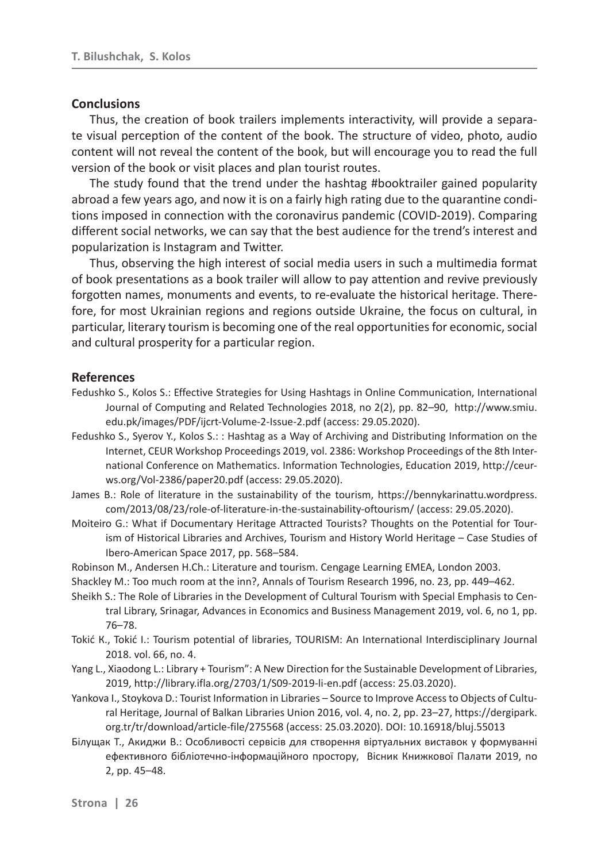#### **Conclusions**

Thus, the creation of book trailers implements interactivity, will provide a separate visual perception of the content of the book. The structure of video, photo, audio content will not reveal the content of the book, but will encourage you to read the full version of the book or visit places and plan tourist routes.

The study found that the trend under the hashtag #booktrailer gained popularity abroad a few years ago, and now it is on a fairly high rating due to the quarantine conditions imposed in connection with the coronavirus pandemic (COVID-2019). Comparing different social networks, we can say that the best audience for the trend's interest and popularization is Instagram and Twitter.

Thus, observing the high interest of social media users in such a multimedia format of book presentations as a book trailer will allow to pay attention and revive previously forgotten names, monuments and events, to re-evaluate the historical heritage. Therefore, for most Ukrainian regions and regions outside Ukraine, the focus on cultural, in particular, literary tourism is becoming one of the real opportunities for economic, social and cultural prosperity for a particular region.

#### **References**

- Fedushko S., Kolos S.: Effective Strategies for Using Hashtags in Online Communication, International Journal of Computing and Related Technologies 2018, no 2(2), pp. 82–90, http://www.smiu. edu.pk/images/PDF/ijcrt-Volume-2-Issue-2.pdf (access: 29.05.2020).
- Fedushko S., Syerov Y., Kolos S.: : Hashtag as a Way of Archiving and Distributing Information on the Internet, CEUR Workshop Proceedings 2019, vol. 2386: Workshop Proceedings of the 8th International Conference on Mathematics. Information Technologies, Education 2019, http://ceurws.org/Vol-2386/paper20.pdf (access: 29.05.2020).
- James B.: Role of literature in the sustainability of the tourism, https://bennykarinattu.wordpress. com/2013/08/23/role-of-literature-in-the-sustainability-oftourism/ (access: 29.05.2020).
- Moiteiro G.: What if Documentary Heritage Attracted Tourists? Thoughts on the Potential for Tourism of Historical Libraries and Archives, Tourism and History World Heritage – Case Studies of Ibero-American Space 2017, pp. 568-584.
- Robinson M., Andersen H.Ch.: Literature and tourism. Cengage Learning EMEA, London 2003.
- Shackley M.: Too much room at the inn?, Annals of Tourism Research 1996, no. 23, pp. 449–462.
- Sheikh S.: The Role of Libraries in the Development of Cultural Tourism with Special Emphasis to Central Library, Srinagar, Advances in Economics and Business Management 2019, vol. 6, no 1, pp. 76–78.
- Tokić K., Tokić I.: Tourism potential of libraries, TOURISM: An International Interdisciplinary Journal 2018. vol. 66, no. 4.
- Yang L., Xiaodong L.: Library + Tourism": A New Direction for the Sustainable Development of Libraries, 2019, http://library.ifla.org/2703/1/S09-2019-li-en.pdf (access: 25.03.2020).
- Yankova I., Stoykova D.: Tourist Information in Libraries Source to Improve Access to Objects of Cultural Heritage, Journal of Balkan Libraries Union 2016, vol. 4, no. 2, pp. 23–27, https://dergipark. org.tr/tr/download/article-file/275568 (access: 25.03.2020). DOI: 10.16918/bluj.55013
- Білущак Т., Акиджи В.: Особливості сервісів для створення віртуальних виставок у формуванні ефективного бібліотечно-інформаційного простору, Вісник Книжкової Палати 2019, по 2, pp. 45–48.